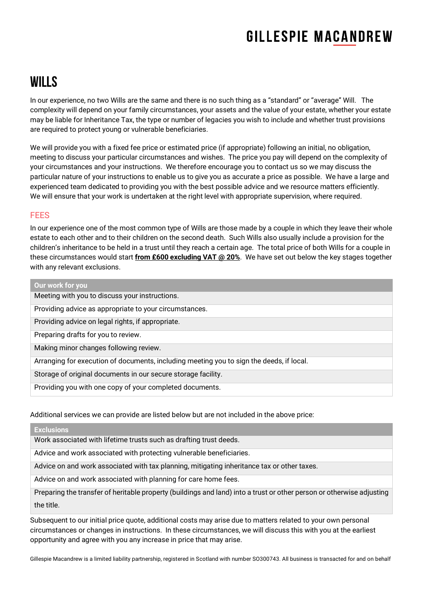# **GILLESPIE MACANDREW**

### Wills

In our experience, no two Wills are the same and there is no such thing as a "standard" or "average" Will. The complexity will depend on your family circumstances, your assets and the value of your estate, whether your estate may be liable for Inheritance Tax, the type or number of legacies you wish to include and whether trust provisions are required to protect young or vulnerable beneficiaries.

We will provide you with a fixed fee price or estimated price (if appropriate) following an initial, no obligation, meeting to discuss your particular circumstances and wishes. The price you pay will depend on the complexity of your circumstances and your instructions. We therefore encourage you to contact us so we may discuss the particular nature of your instructions to enable us to give you as accurate a price as possible. We have a large and experienced team dedicated to providing you with the best possible advice and we resource matters efficiently. We will ensure that your work is undertaken at the right level with appropriate supervision, where required.

### FEES

In our experience one of the most common type of Wills are those made by a couple in which they leave their whole estate to each other and to their children on the second death. Such Wills also usually include a provision for the children's inheritance to be held in a trust until they reach a certain age. The total price of both Wills for a couple in these circumstances would start **from £600 excluding VAT @ 20%**. We have set out below the key stages together with any relevant exclusions.

| Our work for you                                                                         |
|------------------------------------------------------------------------------------------|
| Meeting with you to discuss your instructions.                                           |
| Providing advice as appropriate to your circumstances.                                   |
| Providing advice on legal rights, if appropriate.                                        |
| Preparing drafts for you to review.                                                      |
| Making minor changes following review.                                                   |
| Arranging for execution of documents, including meeting you to sign the deeds, if local. |
| Storage of original documents in our secure storage facility.                            |
| Providing you with one copy of your completed documents.                                 |

#### Additional services we can provide are listed below but are not included in the above price:

#### **Exclusions**

Work associated with lifetime trusts such as drafting trust deeds.

Advice and work associated with protecting vulnerable beneficiaries.

Advice on and work associated with tax planning, mitigating inheritance tax or other taxes.

Advice on and work associated with planning for care home fees.

Preparing the transfer of heritable property (buildings and land) into a trust or other person or otherwise adjusting the title.

Subsequent to our initial price quote, additional costs may arise due to matters related to your own personal circumstances or changes in instructions. In these circumstances, we will discuss this with you at the earliest opportunity and agree with you any increase in price that may arise.

Gillespie Macandrew is a limited liability partnership, registered in Scotland with number SO300743. All business is transacted for and on behalf